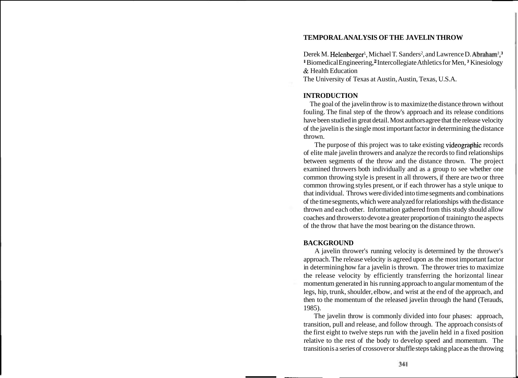# **TEMPORAL ANALYSIS OF THE JAVELIN THROW**

Derek M. Helenberger<sup>1</sup>, Michael T. Sanders<sup>2</sup>, and Lawrence D. Abraham<sup>1</sup>,<sup>3</sup> <sup>II</sup> Biomedical Engineering,<sup>2</sup> Intercollegiate Athletics for Men,<sup>3</sup> Kinesiology & Health Education

The University of Texas at Austin, Austin, Texas, U.S.A.

# **INTRODUCTION**

The goal of the javelin throw is to maximize the distance thrown without fouling. The final step of the throw's approach and its release conditions have been studied in great detail. Most authors agree that the release velocity of the javelin is the single most important factor in determining the distance thrown.

The purpose of this project was to take existing videographic records of elite male javelin throwers and analyze the records to find relationships between segments of the throw and the distance thrown. The project examined throwers both individually and as a group to see whether one common throwing style is present in all throwers, if there are two or three common throwing styles present, or if each thrower has a style unique to that individual. Throws were divided into time segments and combinations of the time segments, which were analyzed for relationships with the distance thrown and each other. Information gathered from this study should allow coaches and throwers to devote a greater proportion of training to the aspects of the throw that have the most bearing on the distance thrown.

# **BACKGROUND**

A javelin thrower's running velocity is determined by the thrower's approach. The release velocity is agreed upon as the most important factor in determining how far a javelin is thrown. The thrower tries to maximize the release velocity by efficiently transferring the horizontal linear momentum generated in his running approach to angular momentum of the legs, hip, trunk, shoulder, elbow, and wrist at the end of the approach, and then to the momentum of the released javelin through the hand (Terauds, 1985).

The javelin throw is commonly divided into four phases: approach, transition, pull and release, and follow through. The approach consists of the first eight to twelve steps run with the javelin held in a fixed position relative to the rest of the body to develop speed and momentum. The transition is a series of crossover or shuffle steps taking place as the throwing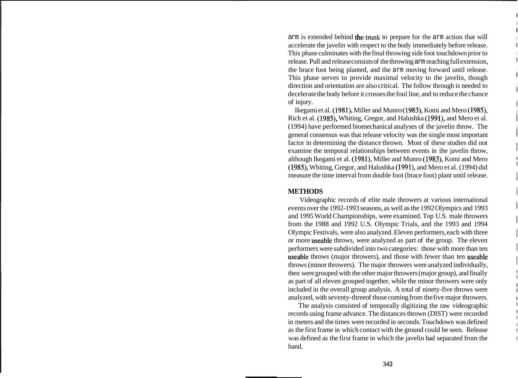arm is extended behind the trunk to prepare for the arm action that will accelerate the javelin with respect to the body immediately before release. This phase culminates with the final throwing side foot touchdown prior to release. Pull and release consists of the throwing arm reaching full extension, the brace foot being planted, and the arm moving forward until release. This phase serves to provide maximal velocity to the javelin, though direction and orientation are also critical. The follow through is needed to decelerate the body before it crosses the foul line, and to reduce the chance of injury.

Ikegami et al. (1981), Miller and Munro (1983), Komi and Mero (1985), Rich et al. (1985), Whiting, Gregor, and Halushka (1991), and Mero et al. (1994) have performed biomechanical analyses of the javelin throw. The general consensus was that release velocity was the single most important factor in determining the distance thrown. Most of these studies did not examine the temporal relationships between events in the javelin throw, although Ikegami et al. (1981), Miller and Munro (1983), Komi and Mero (1985), Whiting, Gregor, and Halushka (1991), and Mero et al. (1994) did measure the time interval from double foot (brace foot) plant until release.

#### **METHODS**

Videographic records of elite male throwers at various international events over the 1992-1993 seasons, as well as the 1992 Olympics and 1993 and 1995 World Championships, were examined. Top U.S. male throwers from the 1988 and 1992 U.S. Olympic Trials, and the 1993 and 1994 Olympic Festivals, were also analyzed. Eleven performers, each with three or more useable throws, were analyzed as part of the group. The eleven performers were subdivided into two categories: those with more than ten useable throws (major throwers), and those with fewer than ten useable throws (minor throwers). The major throwers were analyzed individually, then were grouped with the other major throwers (major group), and finally as part of all eleven grouped together, while the minor throwers were only included in the overall group analysis. A total of ninety-five throws were analyzed, with seventy-three of those coming from the five major throwers.

The analysis consisted of temporally digitizing the raw videographic records using frame advance. The distances thrown (DIST) were recorded in meters and the times were recorded in seconds. Touchdown was defined as the first frame in which contact with the ground could be seen. Release was defined as the first frame in which the javelin had separated from the hand.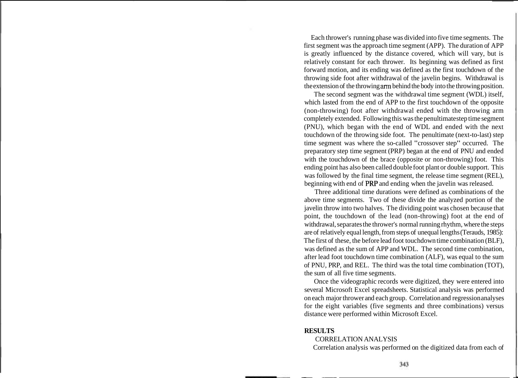Each thrower's running phase was divided into five time segments. The first segment was the approach time segment (APP). The duration of APP is greatly influenced by the distance covered, which will vary, but is relatively constant for each thrower. Its beginning was defined as first forward motion, and its ending was defined as the first touchdown of the throwing side foot after withdrawal of the javelin begins. Withdrawal is the extension of the throwing am behind the body into the throwing position.

The second segment was the withdrawal time segment (WDL) itself, which lasted from the end of APP to the first touchdown of the opposite (non-throwing) foot after withdrawal ended with the throwing arm completely extended. Following this was the penultimate step time segment (PNU), which began with the end of WDL and ended with the next touchdown of the throwing side foot. The penultimate (next-to-last) step time segment was where the so-called "crossover step" occurred. The preparatory step time segment (PRP) began at the end of PNU and ended with the touchdown of the brace (opposite or non-throwing) foot. This ending point has also been called double foot plant or double support. This was followed by the final time segment, the release time segment (REL), beginning with end of PRP and ending when the javelin was released.

Three additional time durations were defined as combinations of the above time segments. Two of these divide the analyzed portion of the javelin throw into two halves. The dividing point was chosen because that point, the touchdown of the lead (non-throwing) foot at the end of withdrawal, separates the thrower's normal running rhythm, where the steps are of relatively equal length, from steps of unequal lengths (Terauds, 1985): The first of these, the before lead foot touchdown time combination (BLF), was defined as the sum of APP and WDL. The second time combination, after lead foot touchdown time combination (ALF), was equal to the sum of PNU, PRP, and REL. The third was the total time combination (TOT), the sum of all five time segments.

Once the videographic records were digitized, they were entered into several Microsoft Excel spreadsheets. Statistical analysis was performed on each major thrower and each group. Correlation and regression analyses for the eight variables (five segments and three combinations) versus distance were performed within Microsoft Excel.

#### **RESULTS**

#### CORRELATION ANALYSIS

Correlation analysis was performed on the digitized data from each of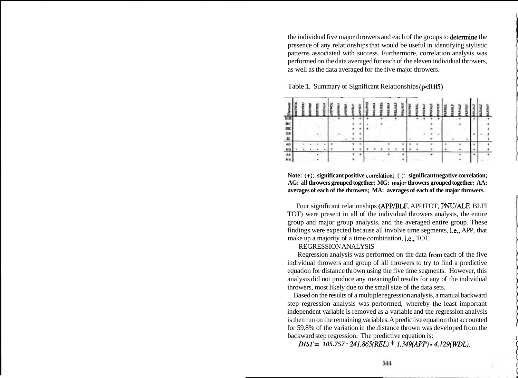the individual five major throwers and each of the groups to determine the presence of any relationships that would be useful in identifying stylistic patterns associated with success. Furthermore, correlation analysis was performed on the data averaged for each of the eleven individual throwers, as well as the data averaged for the five major throwers.



| 医联邦基 |  |  |  |  |  |  |  |  |  |  |  |  |  |  |
|------|--|--|--|--|--|--|--|--|--|--|--|--|--|--|
|      |  |  |  |  |  |  |  |  |  |  |  |  |  |  |
|      |  |  |  |  |  |  |  |  |  |  |  |  |  |  |
|      |  |  |  |  |  |  |  |  |  |  |  |  |  |  |
|      |  |  |  |  |  |  |  |  |  |  |  |  |  |  |
|      |  |  |  |  |  |  |  |  |  |  |  |  |  |  |

**Note:** (+): **significant positive cortelation;** (-): **significant negative correlation; AG: all throwers grouped together; MG: major throwers grouped together; AA: averages of each of the throwers; MA: averages of each of the major throwers.** 

Four significant relationships (APP/BLF, APPITOT, PNU/ALF, BLFI TOT) were present in all of the individual throwers analysis, the entire group and major group analysis, and the averaged entire group. These findings were expected because all involve time segments, i.e., APP, that make up a majority of a time combination, i.e., TOT.

# REGRESSION ANALYSIS

Regression analysis was performed on the data firom each of the five individual throwers and group of all throwers to try to find a predictive equation for distance thrown using the five time segments. However, this analysis did not produce any meaningful results for any of the individual throwers, most likely due to the small size of the data sets.

Based on the results of a multiple regression analysis, a manual backward step regression analysis was performed, whereby the least important independent variable is removed as a variable and the regression analysis is then run on the remaining variables. A predictive equation that accounted for 59.8% of the variation in the distance thrown was developed from the backward step regression. The predictive equation is: <sup>1</sup>

*DIST* = 105.757 · 241.865(REL) + 1.349(APP) - 4.129(WDL).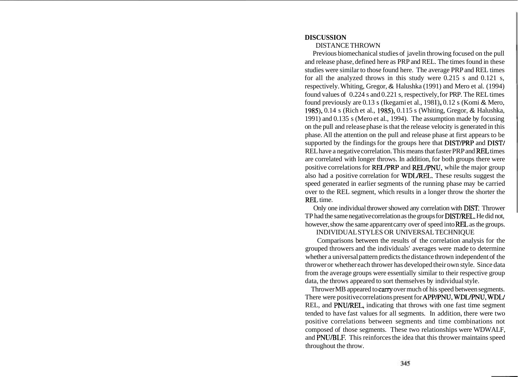# **DISCUSSION**

## DISTANCE THROWN

Previous biomechanical studies of javelin throwing focused on the pull and release phase, defined here as PRP and REL. The times found in these studies were similar to those found here. The average PRP and REL times for all the analyzed throws in this study were 0.215 s and 0.121 s, respectively. Whiting, Gregor, & Halushka (1991) and Mero et al. (1994) found values of 0.224 s and 0.221 s, respectively, for PRP. The REL times found previously are 0.13 s (Ikegami et al., 198 I), 0.12 s (Komi & Mero, 1985), 0.14 s (Rich et al., 1985), 0.115 s (Whiting, Gregor, & Halushka, 1991) and 0.135 s (Mero et al., 1994). The assumption made by focusing on the pull and release phase is that the release velocity is generated in this phase. All the attention on the pull and release phase at first appears to be supported by the findings for the groups here that **DIST/PRP** and **DIST/** REL have a negative correlation. This means that faster PRP and REL times are correlated with longer throws. In addition, for both groups there were positive correlations for RELPRP and RELPNU, while the major group also had a positive correlation for WDLREL. These results suggest the speed generated in earlier segments of the running phase may be carried over to the REL segment, which results in a longer throw the shorter the REL time.

Only one individual thrower showed any correlation with DIST: Thrower TP had the same negative correlation as the groups for **DIST/REL**. He did not, however, show the same apparent carry over of speed into REL as the groups.

# INDIVIDUAL STYLES OR UNIVERSAL TECHNIQUE

Comparisons between the results of the correlation analysis for the grouped throwers and the individuals' averages were made to determine whether a universal pattern predicts the distance thrown independent of the thrower or whether each thrower has developed their own style. Since data from the average groups were essentially similar to their respective group data, the throws appeared to sort themselves by individual style.

Thrower MB appeared to carry over much of his speed between segments. There were positive correlations present for APP/PNU, WDL/PNU, WDL/ REL, and PNU/REL, indicating that throws with one fast time segment tended to have fast values for all segments. In addition, there were two positive correlations between segments and time combinations not composed of those segments. These two relationships were WDWALF, and PNUBLF. This reinforces the idea that this thrower maintains speed throughout the throw.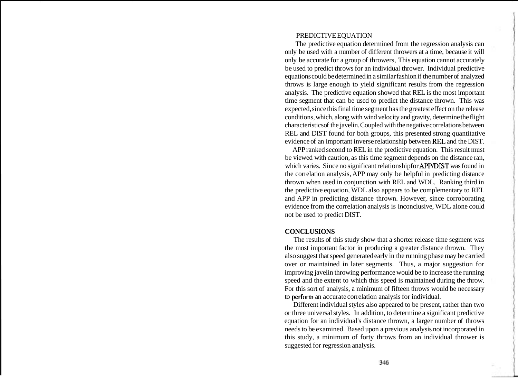#### PREDICTIVE EQUATION

The predictive equation determined from the regression analysis can only be used with a number of different throwers at a time, because it will only be accurate for a group of throwers, This equation cannot accurately be used to predict throws for an individual thrower. Individual predictive equations could be determined in a similar fashion if the number of analyzed throws is large enough to yield significant results from the regression analysis. The predictive equation showed that REL is the most important time segment that can be used to predict the distance thrown. This was expected, since this final time segment has the greatest effect on the release conditions, which, along with wind velocity and gravity, determine the flight characteristics of the javelin. Coupled with the negative correlations between REL and DIST found for both groups, this presented strong quantitative evidence of an important inverse relationship between REL and the DIST.

APP ranked second to REL in the predictive equation. This result must be viewed with caution, as this time segment depends on the distance ran, which varies. Since no significant relationship for APP/DIST was found in the correlation analysis, APP may only be helpful in predicting distance thrown when used in conjunction with REL and WDL. Ranking third in the predictive equation, WDL also appears to be complementary to REL and APP in predicting distance thrown. However, since corroborating evidence from the correlation analysis is inconclusive, WDL alone could not be used to predict DIST.

#### **CONCLUSIONS**

The results of this study show that a shorter release time segment was the most important factor in producing a greater distance thrown. They also suggest that speed generated early in the running phase may be carried over or maintained in later segments. Thus, a major suggestion for improving javelin throwing performance would be to increase the running speed and the extent to which this speed is maintained during the throw. For this sort of analysis, a minimum of fifteen throws would be necessary to perform an accurate correlation analysis for individual.

Different individual styles also appeared to be present, rather than two or three universal styles. In addition, to determine a significant predictive equation for an individual's distance thrown, a larger number of throws needs to be examined. Based upon a previous analysis not incorporated in this study, a minimum of forty throws from an individual thrower is suggested for regression analysis.